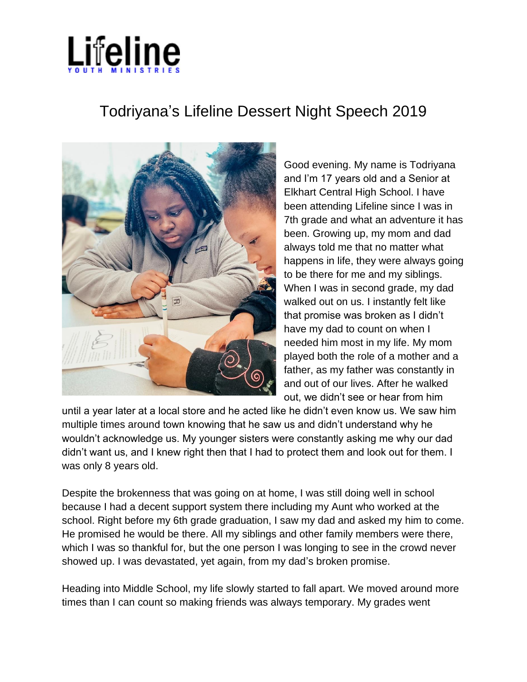

## Todriyana's Lifeline Dessert Night Speech 2019



Good evening. My name is Todriyana and I'm 17 years old and a Senior at Elkhart Central High School. I have been attending Lifeline since I was in 7th grade and what an adventure it has been. Growing up, my mom and dad always told me that no matter what happens in life, they were always going to be there for me and my siblings. When I was in second grade, my dad walked out on us. I instantly felt like that promise was broken as I didn't have my dad to count on when I needed him most in my life. My mom played both the role of a mother and a father, as my father was constantly in and out of our lives. After he walked out, we didn't see or hear from him

until a year later at a local store and he acted like he didn't even know us. We saw him multiple times around town knowing that he saw us and didn't understand why he wouldn't acknowledge us. My younger sisters were constantly asking me why our dad didn't want us, and I knew right then that I had to protect them and look out for them. I was only 8 years old.

Despite the brokenness that was going on at home, I was still doing well in school because I had a decent support system there including my Aunt who worked at the school. Right before my 6th grade graduation, I saw my dad and asked my him to come. He promised he would be there. All my siblings and other family members were there, which I was so thankful for, but the one person I was longing to see in the crowd never showed up. I was devastated, yet again, from my dad's broken promise.

Heading into Middle School, my life slowly started to fall apart. We moved around more times than I can count so making friends was always temporary. My grades went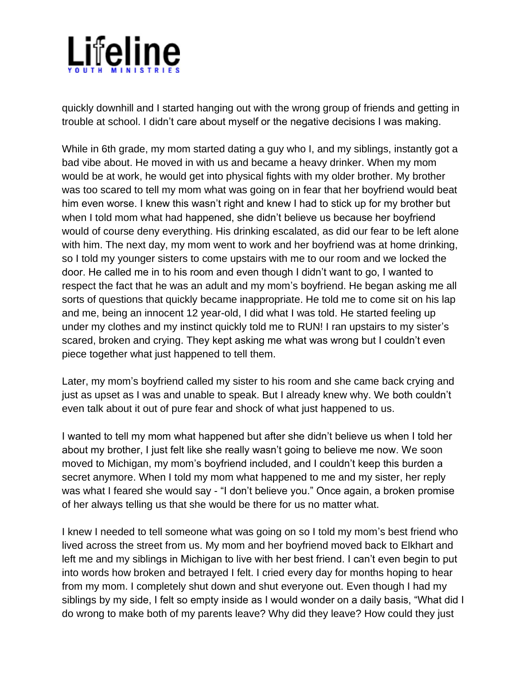

quickly downhill and I started hanging out with the wrong group of friends and getting in trouble at school. I didn't care about myself or the negative decisions I was making.

While in 6th grade, my mom started dating a guy who I, and my siblings, instantly got a bad vibe about. He moved in with us and became a heavy drinker. When my mom would be at work, he would get into physical fights with my older brother. My brother was too scared to tell my mom what was going on in fear that her boyfriend would beat him even worse. I knew this wasn't right and knew I had to stick up for my brother but when I told mom what had happened, she didn't believe us because her boyfriend would of course deny everything. His drinking escalated, as did our fear to be left alone with him. The next day, my mom went to work and her boyfriend was at home drinking, so I told my younger sisters to come upstairs with me to our room and we locked the door. He called me in to his room and even though I didn't want to go, I wanted to respect the fact that he was an adult and my mom's boyfriend. He began asking me all sorts of questions that quickly became inappropriate. He told me to come sit on his lap and me, being an innocent 12 year-old, I did what I was told. He started feeling up under my clothes and my instinct quickly told me to RUN! I ran upstairs to my sister's scared, broken and crying. They kept asking me what was wrong but I couldn't even piece together what just happened to tell them.

Later, my mom's boyfriend called my sister to his room and she came back crying and just as upset as I was and unable to speak. But I already knew why. We both couldn't even talk about it out of pure fear and shock of what just happened to us.

I wanted to tell my mom what happened but after she didn't believe us when I told her about my brother, I just felt like she really wasn't going to believe me now. We soon moved to Michigan, my mom's boyfriend included, and I couldn't keep this burden a secret anymore. When I told my mom what happened to me and my sister, her reply was what I feared she would say - "I don't believe you." Once again, a broken promise of her always telling us that she would be there for us no matter what.

I knew I needed to tell someone what was going on so I told my mom's best friend who lived across the street from us. My mom and her boyfriend moved back to Elkhart and left me and my siblings in Michigan to live with her best friend. I can't even begin to put into words how broken and betrayed I felt. I cried every day for months hoping to hear from my mom. I completely shut down and shut everyone out. Even though I had my siblings by my side, I felt so empty inside as I would wonder on a daily basis, "What did I do wrong to make both of my parents leave? Why did they leave? How could they just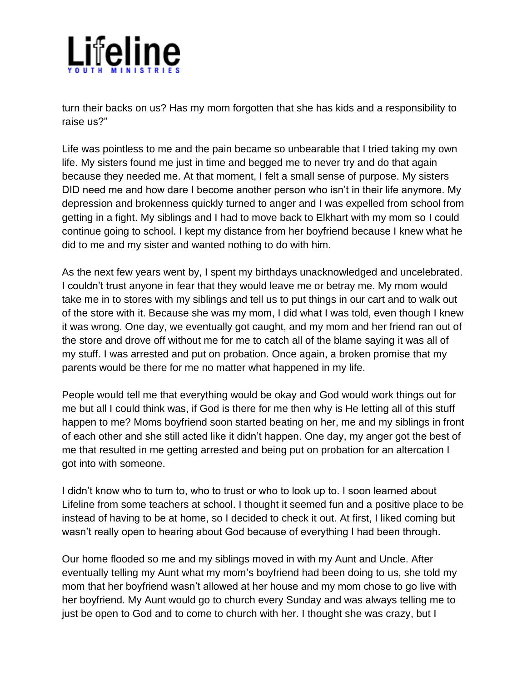

turn their backs on us? Has my mom forgotten that she has kids and a responsibility to raise us?"

Life was pointless to me and the pain became so unbearable that I tried taking my own life. My sisters found me just in time and begged me to never try and do that again because they needed me. At that moment, I felt a small sense of purpose. My sisters DID need me and how dare I become another person who isn't in their life anymore. My depression and brokenness quickly turned to anger and I was expelled from school from getting in a fight. My siblings and I had to move back to Elkhart with my mom so I could continue going to school. I kept my distance from her boyfriend because I knew what he did to me and my sister and wanted nothing to do with him.

As the next few years went by, I spent my birthdays unacknowledged and uncelebrated. I couldn't trust anyone in fear that they would leave me or betray me. My mom would take me in to stores with my siblings and tell us to put things in our cart and to walk out of the store with it. Because she was my mom, I did what I was told, even though I knew it was wrong. One day, we eventually got caught, and my mom and her friend ran out of the store and drove off without me for me to catch all of the blame saying it was all of my stuff. I was arrested and put on probation. Once again, a broken promise that my parents would be there for me no matter what happened in my life.

People would tell me that everything would be okay and God would work things out for me but all I could think was, if God is there for me then why is He letting all of this stuff happen to me? Moms boyfriend soon started beating on her, me and my siblings in front of each other and she still acted like it didn't happen. One day, my anger got the best of me that resulted in me getting arrested and being put on probation for an altercation I got into with someone.

I didn't know who to turn to, who to trust or who to look up to. I soon learned about Lifeline from some teachers at school. I thought it seemed fun and a positive place to be instead of having to be at home, so I decided to check it out. At first, I liked coming but wasn't really open to hearing about God because of everything I had been through.

Our home flooded so me and my siblings moved in with my Aunt and Uncle. After eventually telling my Aunt what my mom's boyfriend had been doing to us, she told my mom that her boyfriend wasn't allowed at her house and my mom chose to go live with her boyfriend. My Aunt would go to church every Sunday and was always telling me to just be open to God and to come to church with her. I thought she was crazy, but I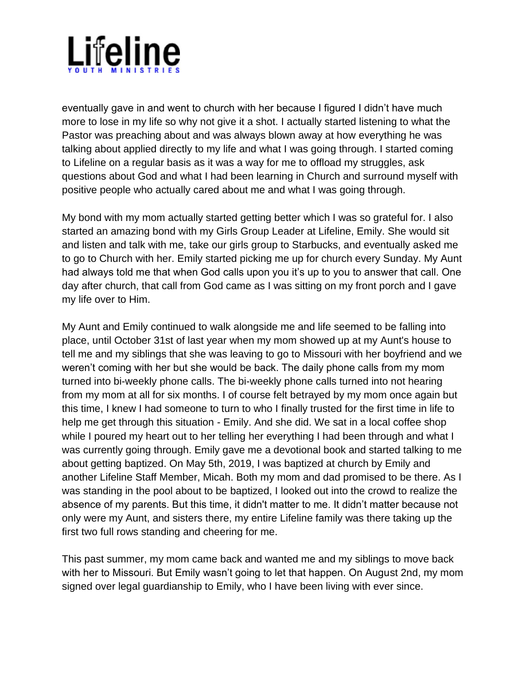

eventually gave in and went to church with her because I figured I didn't have much more to lose in my life so why not give it a shot. I actually started listening to what the Pastor was preaching about and was always blown away at how everything he was talking about applied directly to my life and what I was going through. I started coming to Lifeline on a regular basis as it was a way for me to offload my struggles, ask questions about God and what I had been learning in Church and surround myself with positive people who actually cared about me and what I was going through.

My bond with my mom actually started getting better which I was so grateful for. I also started an amazing bond with my Girls Group Leader at Lifeline, Emily. She would sit and listen and talk with me, take our girls group to Starbucks, and eventually asked me to go to Church with her. Emily started picking me up for church every Sunday. My Aunt had always told me that when God calls upon you it's up to you to answer that call. One day after church, that call from God came as I was sitting on my front porch and I gave my life over to Him.

My Aunt and Emily continued to walk alongside me and life seemed to be falling into place, until October 31st of last year when my mom showed up at my Aunt's house to tell me and my siblings that she was leaving to go to Missouri with her boyfriend and we weren't coming with her but she would be back. The daily phone calls from my mom turned into bi-weekly phone calls. The bi-weekly phone calls turned into not hearing from my mom at all for six months. I of course felt betrayed by my mom once again but this time, I knew I had someone to turn to who I finally trusted for the first time in life to help me get through this situation - Emily. And she did. We sat in a local coffee shop while I poured my heart out to her telling her everything I had been through and what I was currently going through. Emily gave me a devotional book and started talking to me about getting baptized. On May 5th, 2019, I was baptized at church by Emily and another Lifeline Staff Member, Micah. Both my mom and dad promised to be there. As I was standing in the pool about to be baptized, I looked out into the crowd to realize the absence of my parents. But this time, it didn't matter to me. It didn't matter because not only were my Aunt, and sisters there, my entire Lifeline family was there taking up the first two full rows standing and cheering for me.

This past summer, my mom came back and wanted me and my siblings to move back with her to Missouri. But Emily wasn't going to let that happen. On August 2nd, my mom signed over legal guardianship to Emily, who I have been living with ever since.